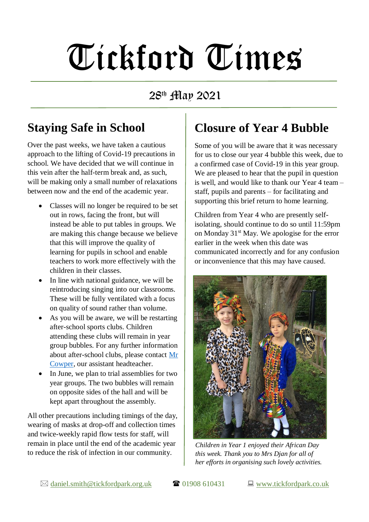# Tickford Times

28 th May 2021

# **Staying Safe in School**

Over the past weeks, we have taken a cautious approach to the lifting of Covid-19 precautions in school. We have decided that we will continue in this vein after the half-term break and, as such, will be making only a small number of relaxations between now and the end of the academic year.

- Classes will no longer be required to be set out in rows, facing the front, but will instead be able to put tables in groups. We are making this change because we believe that this will improve the quality of learning for pupils in school and enable teachers to work more effectively with the children in their classes.
- In line with national guidance, we will be reintroducing singing into our classrooms. These will be fully ventilated with a focus on quality of sound rather than volume.
- As you will be aware, we will be restarting after-school sports clubs. Children attending these clubs will remain in year group bubbles. For any further information about after-school clubs, please contact [Mr](mailto:ian.cowper@tickfordpark.org.uk?subject=After-school%20clubs)  [Cowper,](mailto:ian.cowper@tickfordpark.org.uk?subject=After-school%20clubs) our assistant headteacher.
- In June, we plan to trial assemblies for two year groups. The two bubbles will remain on opposite sides of the hall and will be kept apart throughout the assembly.

All other precautions including timings of the day, wearing of masks at drop-off and collection times and twice-weekly rapid flow tests for staff, will remain in place until the end of the academic year to reduce the risk of infection in our community.

# **Closure of Year 4 Bubble**

Some of you will be aware that it was necessary for us to close our year 4 bubble this week, due to a confirmed case of Covid-19 in this year group. We are pleased to hear that the pupil in question is well, and would like to thank our Year 4 team – staff, pupils and parents – for facilitating and supporting this brief return to home learning.

Children from Year 4 who are presently selfisolating, should continue to do so until 11:59pm on Monday 31<sup>st</sup> May. We apologise for the error earlier in the week when this date was communicated incorrectly and for any confusion or inconvenience that this may have caused.



*Children in Year 1 enjoyed their African Day this week. Thank you to Mrs Djan for all of her efforts in organising such lovely activities.*